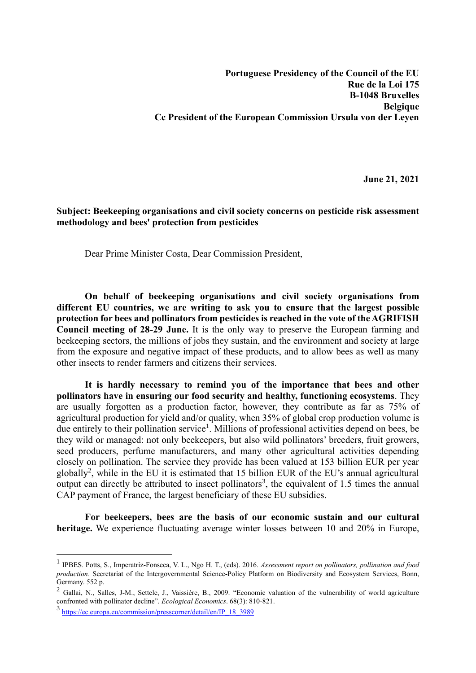**June 21, 2021**

## **Subject: Beekeeping organisations and civil society concerns on pesticide risk assessment methodology and bees' protection from pesticides**

Dear Prime Minister Costa, Dear Commission President,

**On behalf of beekeeping organisations and civil society organisations from different EU countries, we are writing to ask you to ensure that the largest possible protection for bees and pollinators from pesticides is reached in the vote of the AGRIFISH Council meeting of 28-29 June.** It is the only way to preserve the European farming and beekeeping sectors, the millions of jobs they sustain, and the environment and society at large from the exposure and negative impact of these products, and to allow bees as well as many other insects to render farmers and citizens their services.

**It is hardly necessary to remind you of the importance that bees and other pollinators have in ensuring our food security and healthy, functioning ecosystems**. They are usually forgotten as a production factor, however, they contribute as far as 75% of agricultural production for yield and/or quality, when 35% of global crop production volume is due entirely to their pollination service<sup>1</sup>. Millions of professional activities depend on bees, be they wild or managed: not only beekeepers, but also wild pollinators' breeders, fruit growers, seed producers, perfume manufacturers, and many other agricultural activities depending closely on pollination. The service they provide has been valued at 153 billion EUR per year globally<sup>2</sup>, while in the EU it is estimated that 15 billion EUR of the EU's annual agricultural output can directly be attributed to insect pollinators<sup>3</sup>, the equivalent of 1.5 times the annual CAP payment of France, the largest beneficiary of these EU subsidies.

**For beekeepers, bees are the basis of our economic sustain and our cultural heritage.** We experience fluctuating average winter losses between 10 and 20% in Europe,

<sup>1</sup> IPBES. Potts, S., Imperatriz-Fonseca, V. L., Ngo H. T., (eds). 2016. *Assessment report on pollinators, pollination and food production*. Secretariat of the Intergovernmental Science-Policy Platform on Biodiversity and Ecosystem Services, Bonn, Germany. 552 p.

<sup>&</sup>lt;sup>2</sup> Gallai, N., Salles, J-M., Settele, J., Vaissière, B., 2009. "Economic valuation of the vulnerability of world agriculture confronted with pollinator decline". *Ecological Economics*. 68(3): 810-821.

<sup>3</sup> [https://ec.europa.eu/commission/presscorner/detail/en/IP\\_18\\_3989](https://ec.europa.eu/commission/presscorner/detail/en/IP_18_3989)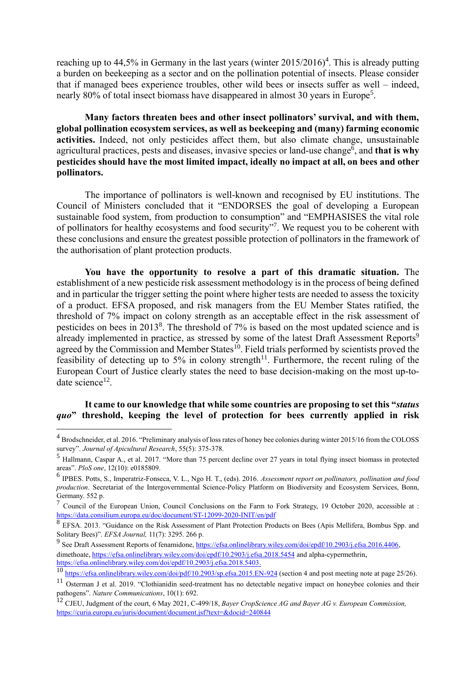reaching up to 44,5% in Germany in the last years (winter  $2015/2016$ <sup>4</sup>. This is already putting a burden on beekeeping as a sector and on the pollination potential of insects. Please consider that if managed bees experience troubles, other wild bees or insects suffer as well – indeed, nearly 80% of total insect biomass have disappeared in almost 30 years in Europe<sup>5</sup>.

**Many factors threaten bees and other insect pollinators' survival, and with them, global pollination ecosystem services, as well as beekeeping and (many) farming economic activities.** Indeed, not only pesticides affect them, but also climate change, unsustainable agricultural practices, pests and diseases, invasive species or land-use change<sup>6</sup>, and that is why **pesticides should have the most limited impact, ideally no impact at all, on bees and other pollinators.**

The importance of pollinators is well-known and recognised by EU institutions. The Council of Ministers concluded that it "ENDORSES the goal of developing a European sustainable food system, from production to consumption" and "EMPHASISES the vital role of pollinators for healthy ecosystems and food security"<sup>7</sup>. We request you to be coherent with these conclusions and ensure the greatest possible protection of pollinators in the framework of the authorisation of plant protection products.

**You have the opportunity to resolve a part of this dramatic situation.** The establishment of a new pesticide risk assessment methodology is in the process of being defined and in particular the trigger setting the point where higher tests are needed to assess the toxicity of a product. EFSA proposed, and risk managers from the EU Member States ratified, the threshold of 7% impact on colony strength as an acceptable effect in the risk assessment of pesticides on bees in 2013<sup>8</sup>. The threshold of 7% is based on the most updated science and is already implemented in practice, as stressed by some of the latest Draft Assessment Reports<sup>9</sup> agreed by the Commission and Member States<sup>10</sup>. Field trials performed by scientists proved the feasibility of detecting up to 5% in colony strength<sup>11</sup>. Furthermore, the recent ruling of the European Court of Justice clearly states the need to base decision-making on the most up-todate science<sup>12</sup>.

## **It came to our knowledge that while some countries are proposing to set this "***status quo***" threshold, keeping the level of protection for bees currently applied in risk**

<sup>&</sup>lt;sup>4</sup> Brodschneider, et al. 2016. "Preliminary analysis of loss rates of honey bee colonies during winter 2015/16 from the COLOSS survey". *Journal of Apicultural Research*, 55(5): 375-378.

<sup>5</sup> Hallmann, Caspar A., et al. 2017. "More than 75 percent decline over 27 years in total flying insect biomass in protected areas". *PloS one*, 12(10): e0185809.

<sup>6</sup> IPBES. Potts, S., Imperatriz-Fonseca, V. L., Ngo H. T., (eds). 2016. *Assessment report on pollinators, pollination and food production*. Secretariat of the Intergovernmental Science-Policy Platform on Biodiversity and Ecosystem Services, Bonn, Germany. 552 p.

<sup>&</sup>lt;sup>7</sup> Council of the European Union, Council Conclusions on the Farm to Fork Strategy, 19 October 2020, accessible at : <https://data.consilium.europa.eu/doc/document/ST-12099-2020-INIT/en/pdf>

<sup>&</sup>lt;sup>8</sup> EFSA. 2013. "Guidance on the Risk Assessment of Plant Protection Products on Bees (Apis Mellifera, Bombus Spp. and Solitary Bees)". *EFSA Journal,* 11(7): 3295. 266 p.

<sup>&</sup>lt;sup>9</sup> See Draft Assessment Reports of fenamidone, https://efsa.onlinelibrary.wiley.com/doi/epdf/10.2903/j.efsa.2016.4406, dimethoate[, https://efsa.onlinelibrary.wiley.com/doi/epdf/10.2903/j.efsa.2018.5454](https://efsa.onlinelibrary.wiley.com/doi/epdf/10.2903/j.efsa.2018.5454) and alpha-cypermethrin, [https://efsa.onlinelibrary.wiley.com/doi/epdf/10.2903/j.efsa.2018.5403.](https://efsa.onlinelibrary.wiley.com/doi/epdf/10.2903/j.efsa.2018.5403)

<sup>10</sup> <https://efsa.onlinelibrary.wiley.com/doi/pdf/10.2903/sp.efsa.2015.EN-924> (section 4 and post meeting note at page 25/26).

 $11$  Osterman J et al. 2019. "Clothianidin seed-treatment has no detectable negative impact on honeybee colonies and their pathogens". *Nature Communications*, 10(1): 692.

<sup>12</sup> CJEU, Judgment of the court, 6 May 2021, C-499/18, *Bayer CropScience AG and Bayer AG v. European Commission,*  [https://curia.europa.eu/juris/document/document.jsf?text=&docid=240844](https://curia.europa.eu/juris/document/document.jsf?text=&docid=240844&pageIndex=0&doclang=en&mode=req&dir=&occ=first&part=1&cid=99410)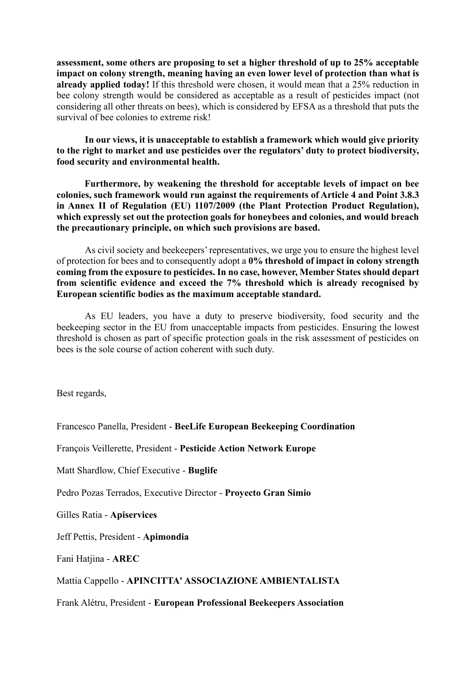**assessment, some others are proposing to set a higher threshold of up to 25% acceptable impact on colony strength, meaning having an even lower level of protection than what is already applied today!** If this threshold were chosen, it would mean that a 25% reduction in bee colony strength would be considered as acceptable as a result of pesticides impact (not considering all other threats on bees), which is considered by EFSA as a threshold that puts the survival of bee colonies to extreme risk!

**In our views, it is unacceptable to establish a framework which would give priority to the right to market and use pesticides over the regulators' duty to protect biodiversity, food security and environmental health.**

**Furthermore, by weakening the threshold for acceptable levels of impact on bee colonies, such framework would run against the requirements of Article 4 and Point 3.8.3 in Annex II of Regulation (EU) 1107/2009 (the Plant Protection Product Regulation), which expressly set out the protection goals for honeybees and colonies, and would breach the precautionary principle, on which such provisions are based.**

As civil society and beekeepers' representatives, we urge you to ensure the highest level of protection for bees and to consequently adopt a **0% threshold of impact in colony strength coming from the exposure to pesticides. In no case, however, Member States should depart from scientific evidence and exceed the 7% threshold which is already recognised by European scientific bodies as the maximum acceptable standard.**

As EU leaders, you have a duty to preserve biodiversity, food security and the beekeeping sector in the EU from unacceptable impacts from pesticides. Ensuring the lowest threshold is chosen as part of specific protection goals in the risk assessment of pesticides on bees is the sole course of action coherent with such duty.

Best regards,

Francesco Panella, President - **BeeLife European Beekeeping Coordination**

François Veillerette, President - **Pesticide Action Network Europe**

Matt Shardlow, Chief Executive - **Buglife**

Pedro Pozas Terrados, Executive Director - **Proyecto Gran Simio**

Gilles Ratia - **Apiservices**

Jeff Pettis, President - **Apimondia**

Fani Hatjina - **AREC**

Mattia Cappello - **APINCITTA' ASSOCIAZIONE AMBIENTALISTA**

Frank Alétru, President - **European Professional Beekeepers Association**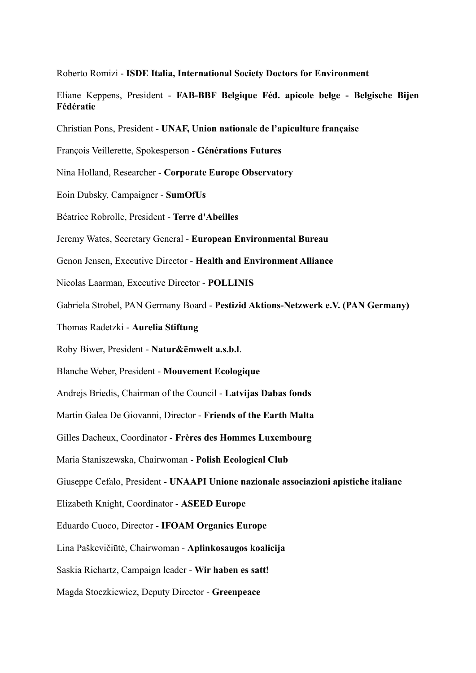Roberto Romizi - **ISDE Italia, International Society Doctors for Environment**

Eliane Keppens, President - **FAB-BBF Belgique Féd. apicole belge - Belgische Bijen Fédératie**

Christian Pons, President - **UNAF, Union nationale de l'apiculture française**

François Veillerette, Spokesperson - **Générations Futures**

Nina Holland, Researcher - **Corporate Europe Observatory**

Eoin Dubsky, Campaigner - **SumOfUs**

Béatrice Robrolle, President - **Terre d'Abeilles**

Jeremy Wates, Secretary General - **European Environmental Bureau**

Genon Jensen, Executive Director - **Health and Environment Alliance**

Nicolas Laarman, Executive Director - **POLLINIS**

Gabriela Strobel, PAN Germany Board - **Pestizid Aktions-Netzwerk e.V. (PAN Germany)**

Thomas Radetzki - **Aurelia Stiftung**

Roby Biwer, President - **Natur&ëmwelt a.s.b.l**.

Blanche Weber, President - **Mouvement Ecologique**

Andrejs Briedis, Chairman of the Council - **Latvijas Dabas fonds**

Martin Galea De Giovanni, Director - **Friends of the Earth Malta**

Gilles Dacheux, Coordinator - **Frères des Hommes Luxembourg**

Maria Staniszewska, Chairwoman - **Polish Ecological Club**

Giuseppe Cefalo, President - **UNAAPI Unione nazionale associazioni apistiche italiane**

Elizabeth Knight, Coordinator - **ASEED Europe**

Eduardo Cuoco, Director - **IFOAM Organics Europe**

Lina Paškevičiūtė, Chairwoman - **Aplinkosaugos koalicija**

Saskia Richartz, Campaign leader - **Wir haben es satt!**

Magda Stoczkiewicz, Deputy Director - **Greenpeace**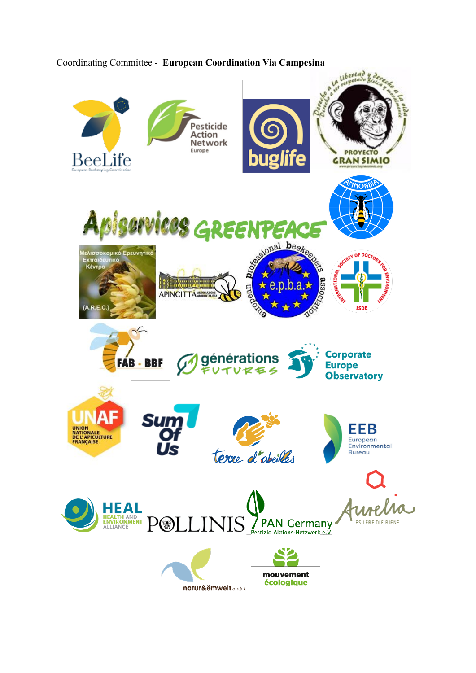